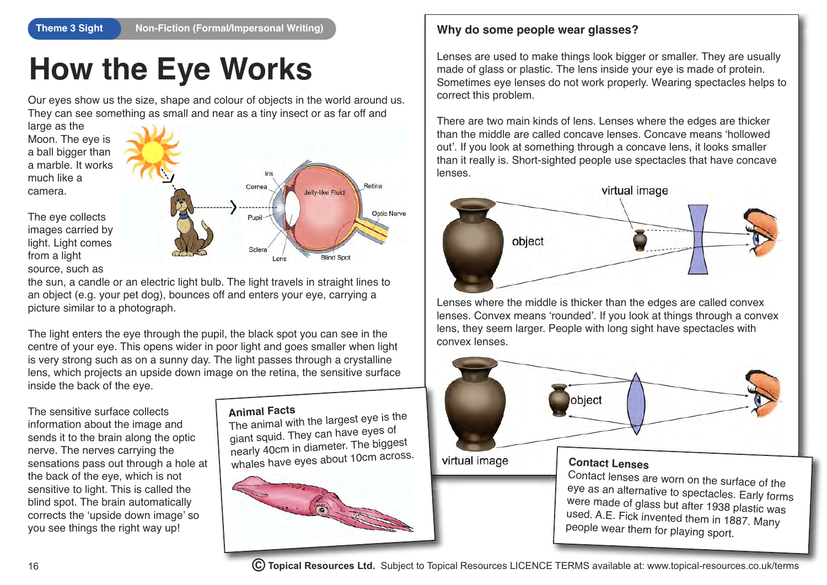## **How the Eye Works**

Our eyes show us the size, shape and colour of objects in the world around us. They can see something as small and near as a tiny insect or as far off and

large as the Moon. The eye is a ball bigger than a marble. It works much like a camera.



The eye collects images carried by light. Light comes from a light source, such as

the sun, a candle or an electric light bulb. The light travels in straight lines to an object (e.g. your pet dog), bounces off and enters your eye, carrying a picture similar to a photograph.

The light enters the eye through the pupil, the black spot you can see in the centre of your eye. This opens wider in poor light and goes smaller when light is very strong such as on a sunny day. The light passes through a crystalline lens, which projects an upside down image on the retina, the sensitive surface inside the back of the eye.

The sensitive surface collects information about the image and sends it to the brain along the optic nerve. The nerves carrying the sensations pass out through a hole at the back of the eye, which is not sensitive to light. This is called the blind spot. The brain automatically corrects the 'upside down image' so you see things the right way up!

### **Animal Facts**

The animal with the largest eye is the giant squid. They can have eyes o<sup>f</sup> nearly 40cm in diameter. The biggest whales have eyes about 10cm across.



#### **Why do some people wear glasses?**

Lenses are used to make things look bigger or smaller. They are usually made of glass or plastic. The lens inside your eye is made of protein. Sometimes eye lenses do not work properly. Wearing spectacles helps to correct this problem.

There are two main kinds of lens. Lenses where the edges are thicker than the middle are called concave lenses. Concave means 'hollowed out'. If you look at something through a concave lens, it looks smaller than it really is. Short-sighted people use spectacles that have concave lenses.



Lenses where the middle is thicker than the edges are called convex lenses. Convex means 'rounded'. If you look at things through a convex lens, they seem larger. People with long sight have spectacles with convex lenses.

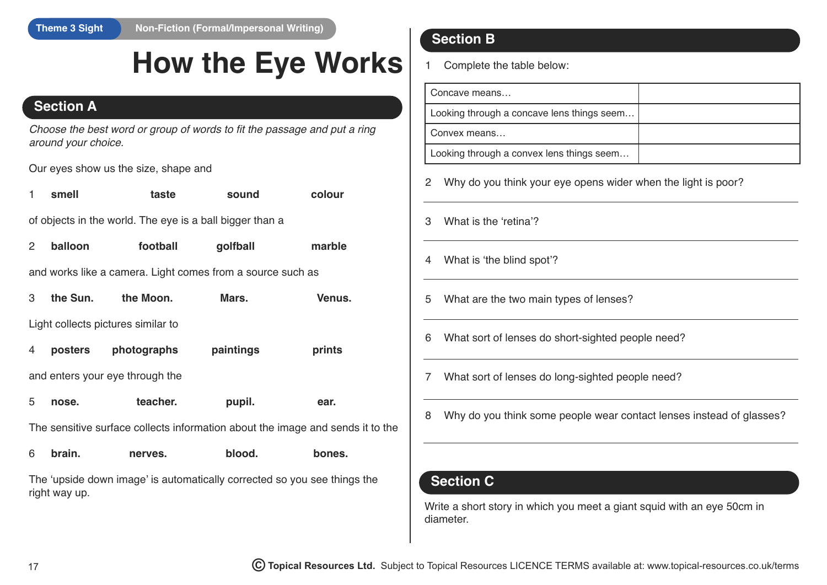## **How the Eye Works**

## **Section A**

*Choose the best word or group of words to fit the passage and put a ring around your choice.*

Our eyes show us the size, shape and

| 1              | smell                                                                          | taste                                                    | sound                                                      | colour |  |  |
|----------------|--------------------------------------------------------------------------------|----------------------------------------------------------|------------------------------------------------------------|--------|--|--|
|                |                                                                                | of objects in the world. The eye is a ball bigger than a |                                                            |        |  |  |
| $\overline{2}$ | balloon                                                                        | football                                                 | golfball                                                   | marble |  |  |
|                |                                                                                |                                                          | and works like a camera. Light comes from a source such as |        |  |  |
| 3              | the Sun.                                                                       | the Moon.                                                | Mars.                                                      | Venus. |  |  |
|                | Light collects pictures similar to                                             |                                                          |                                                            |        |  |  |
| 4              | posters                                                                        | photographs                                              | paintings                                                  | prints |  |  |
|                | and enters your eye through the                                                |                                                          |                                                            |        |  |  |
| 5              | nose.                                                                          | teacher.                                                 | pupil.                                                     | ear.   |  |  |
|                | The sensitive surface collects information about the image and sends it to the |                                                          |                                                            |        |  |  |
| 6              | brain.                                                                         | nerves.                                                  | blood.                                                     | bones. |  |  |

The 'upside down image' is automatically corrected so you see things the right way up.

## **Section B**

1 Complete the table below:

| Concave means                              |  |
|--------------------------------------------|--|
| Looking through a concave lens things seem |  |
| Convex means                               |  |
| Looking through a convex lens things seem  |  |

- 2 Why do you think your eye opens wider when the light is poor?
- 3 What is the 'retina'?
- 4 What is 'the blind spot'?
- 5 What are the two main types of lenses?
- 6 What sort of lenses do short-sighted people need?
- 7 What sort of lenses do long-sighted people need?
- 8 Why do you think some people wear contact lenses instead of glasses?

## **Section C**

Write a short story in which you meet a giant squid with an eye 50cm in diameter.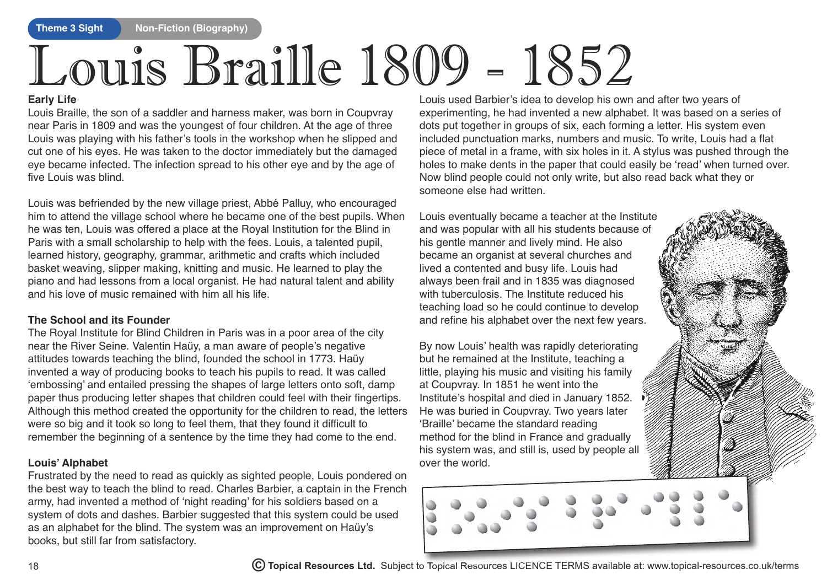# Louis Braille 1809 - 1852

#### **Early Life**

Louis Braille, the son of a saddler and harness maker, was born in Coupvray near Paris in 1809 and was the youngest of four children. At the age of three Louis was playing with his father's tools in the workshop when he slipped and cut one of his eyes. He was taken to the doctor immediately but the damaged eye became infected. The infection spread to his other eye and by the age of five Louis was blind.

Louis was befriended by the new village priest, Abbé Palluy, who encouraged him to attend the village school where he became one of the best pupils. When he was ten, Louis was offered a place at the Royal Institution for the Blind in Paris with a small scholarship to help with the fees. Louis, a talented pupil, learned history, geography, grammar, arithmetic and crafts which included basket weaving, slipper making, knitting and music. He learned to play the piano and had lessons from a local organist. He had natural talent and ability and his love of music remained with him all his life.

#### **The School and its Founder**

The Royal Institute for Blind Children in Paris was in a poor area of the city near the River Seine. Valentin Haüy, a man aware of people's negative attitudes towards teaching the blind, founded the school in 1773. Haüy invented a way of producing books to teach his pupils to read. It was called 'embossing' and entailed pressing the shapes of large letters onto soft, damp paper thus producing letter shapes that children could feel with their fingertips. Although this method created the opportunity for the children to read, the letters were so big and it took so long to feel them, that they found it difficult to remember the beginning of a sentence by the time they had come to the end.

#### **Louis' Alphabet**

Frustrated by the need to read as quickly as sighted people, Louis pondered on the best way to teach the blind to read. Charles Barbier, a captain in the French army, had invented a method of 'night reading' for his soldiers based on a system of dots and dashes. Barbier suggested that this system could be used as an alphabet for the blind. The system was an improvement on Haüy's books, but still far from satisfactory.

Louis used Barbier's idea to develop his own and after two years of experimenting, he had invented a new alphabet. It was based on a series of dots put together in groups of six, each forming a letter. His system even included punctuation marks, numbers and music. To write, Louis had a flat piece of metal in a frame, with six holes in it. A stylus was pushed through the holes to make dents in the paper that could easily be 'read' when turned over. Now blind people could not only write, but also read back what they or someone else had written.

Louis eventually became a teacher at the Institute and was popular with all his students because of his gentle manner and lively mind. He also became an organist at several churches and lived a contented and busy life. Louis had always been frail and in 1835 was diagnosed with tuberculosis. The Institute reduced his teaching load so he could continue to develop and refine his alphabet over the next few years.

By now Louis' health was rapidly deteriorating but he remained at the Institute, teaching a little, playing his music and visiting his family at Coupvray. In 1851 he went into the Institute's hospital and died in January 1852. He was buried in Coupvray. Two years later 'Braille' became the standard reading method for the blind in France and gradually his system was, and still is, used by people all over the world.

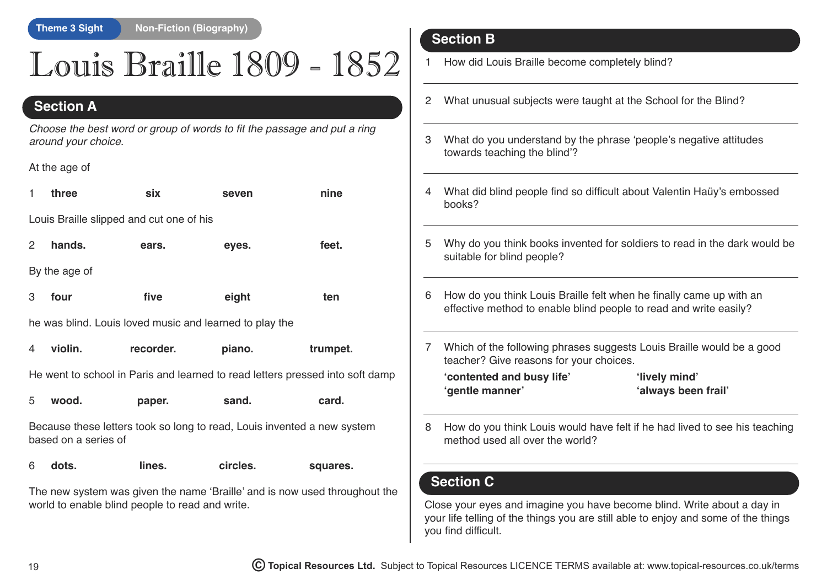## Louis Braille 1809 - 1852

## **Section A**

*Choose the best word or group of words to fit the passage and put a ring around your choice.*

#### At the age of

| 1                                                                                               | three                                                   | six       | seven  | nine     |  |  |  |  |
|-------------------------------------------------------------------------------------------------|---------------------------------------------------------|-----------|--------|----------|--|--|--|--|
|                                                                                                 | Louis Braille slipped and cut one of his                |           |        |          |  |  |  |  |
| $\mathbf{2}$                                                                                    | hands.                                                  | ears.     | eyes.  | feet.    |  |  |  |  |
|                                                                                                 | By the age of                                           |           |        |          |  |  |  |  |
| 3                                                                                               | four                                                    | five      | eight  | ten      |  |  |  |  |
|                                                                                                 | he was blind. Louis loved music and learned to play the |           |        |          |  |  |  |  |
| 4                                                                                               | violin.                                                 | recorder. | piano. | trumpet. |  |  |  |  |
| He went to school in Paris and learned to read letters pressed into soft damp                   |                                                         |           |        |          |  |  |  |  |
| 5                                                                                               | wood.                                                   | paper.    | sand.  | card.    |  |  |  |  |
| Because these letters took so long to read, Louis invented a new system<br>based on a series of |                                                         |           |        |          |  |  |  |  |

| 6 | dots. | lines. | circles. | squares. |
|---|-------|--------|----------|----------|
|   |       |        |          |          |

The new system was given the name 'Braille' and is now used throughout the world to enable blind people to read and write.

## **Section B**

- 1 How did Louis Braille become completely blind?
- 2 What unusual subjects were taught at the School for the Blind?
- 3 What do you understand by the phrase 'people's negative attitudes towards teaching the blind'?
- 4 What did blind people find so difficult about Valentin Haüy's embossed books?
- 5 Why do you think books invented for soldiers to read in the dark would be suitable for blind people?
- 6 How do you think Louis Braille felt when he finally came up with an effective method to enable blind people to read and write easily?
- 7 Which of the following phrases suggests Louis Braille would be a good teacher? Give reasons for your choices.

| contented and busy life' |  |
|--------------------------|--|
| 'gentle manner'          |  |

**'contented and busy life' 'lively mind'** 'always been frail'

8 How do you think Louis would have felt if he had lived to see his teaching method used all over the world?

## **Section C**

Close your eyes and imagine you have become blind. Write about a day in your life telling of the things you are still able to enjoy and some of the things you find difficult.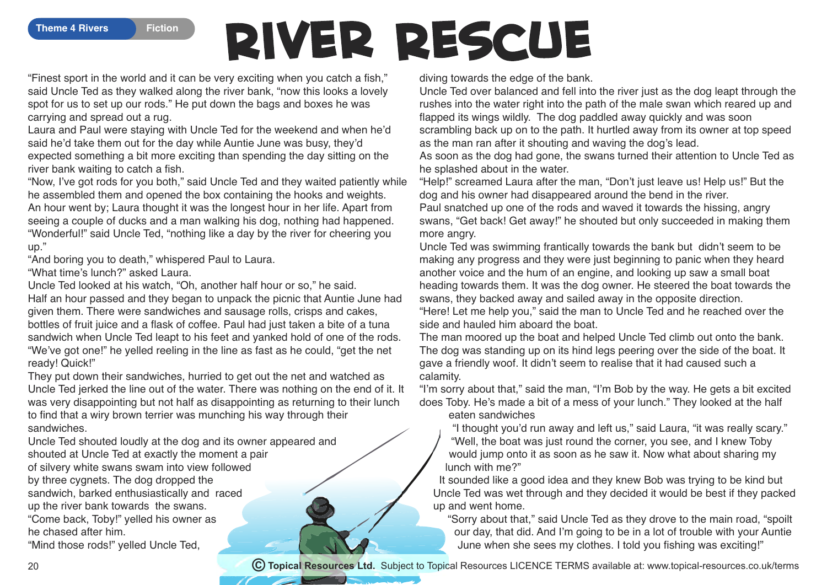## **River Rescue**

"Finest sport in the world and it can be very exciting when you catch a fish," said Uncle Ted as they walked along the river bank, "now this looks a lovely spot for us to set up our rods." He put down the bags and boxes he was carrying and spread out a rug.

Laura and Paul were staying with Uncle Ted for the weekend and when he'd said he'd take them out for the day while Auntie June was busy, they'd expected something a bit more exciting than spending the day sitting on the river bank waiting to catch a fish.

"Now, I've got rods for you both," said Uncle Ted and they waited patiently while he assembled them and opened the box containing the hooks and weights. An hour went by; Laura thought it was the longest hour in her life. Apart from seeing a couple of ducks and a man walking his dog, nothing had happened. "Wonderful!" said Uncle Ted, "nothing like a day by the river for cheering you up."

"And boring you to death," whispered Paul to Laura.

"What time's lunch?" asked Laura.

Uncle Ted looked at his watch, "Oh, another half hour or so," he said. Half an hour passed and they began to unpack the picnic that Auntie June had given them. There were sandwiches and sausage rolls, crisps and cakes, bottles of fruit juice and a flask of coffee. Paul had just taken a bite of a tuna sandwich when Uncle Ted leapt to his feet and yanked hold of one of the rods. "We've got one!" he yelled reeling in the line as fast as he could, "get the net ready! Quick!"

They put down their sandwiches, hurried to get out the net and watched as Uncle Ted jerked the line out of the water. There was nothing on the end of it. It was very disappointing but not half as disappointing as returning to their lunch to find that a wiry brown terrier was munching his way through their sandwiches.

Uncle Ted shouted loudly at the dog and its owner appeared and shouted at Uncle Ted at exactly the moment a pair of silvery white swans swam into view followed

by three cygnets. The dog dropped the sandwich, barked enthusiastically and raced up the river bank towards the swans. "Come back, Toby!" yelled his owner as he chased after him.

"Mind those rods!" yelled Uncle Ted,

diving towards the edge of the bank.

Uncle Ted over balanced and fell into the river just as the dog leapt through the rushes into the water right into the path of the male swan which reared up and flapped its wings wildly. The dog paddled away quickly and was soon scrambling back up on to the path. It hurtled away from its owner at top speed as the man ran after it shouting and waving the dog's lead.

As soon as the dog had gone, the swans turned their attention to Uncle Ted as he splashed about in the water.

"Help!" screamed Laura after the man, "Don't just leave us! Help us!" But the dog and his owner had disappeared around the bend in the river.

Paul snatched up one of the rods and waved it towards the hissing, angry swans, "Get back! Get away!" he shouted but only succeeded in making them more angry.

Uncle Ted was swimming frantically towards the bank but didn't seem to be making any progress and they were just beginning to panic when they heard another voice and the hum of an engine, and looking up saw a small boat heading towards them. It was the dog owner. He steered the boat towards the swans, they backed away and sailed away in the opposite direction.

"Here! Let me help you," said the man to Uncle Ted and he reached over the side and hauled him aboard the boat.

The man moored up the boat and helped Uncle Ted climb out onto the bank. The dog was standing up on its hind legs peering over the side of the boat. It gave a friendly woof. It didn't seem to realise that it had caused such a calamity.

"I'm sorry about that," said the man, "I'm Bob by the way. He gets a bit excited does Toby. He's made a bit of a mess of your lunch." They looked at the half

eaten sandwiches

"I thought you'd run away and left us," said Laura, "it was really scary." "Well, the boat was just round the corner, you see, and I knew Toby would jump onto it as soon as he saw it. Now what about sharing my lunch with me?"

It sounded like a good idea and they knew Bob was trying to be kind but Uncle Ted was wet through and they decided it would be best if they packed up and went home.

"Sorry about that," said Uncle Ted as they drove to the main road, "spoilt our day, that did. And I'm going to be in a lot of trouble with your Auntie June when she sees my clothes. I told you fishing was exciting!"

**© Topical Resources Ltd.** Subject to Topical Resources LICENCE TERMS available at: www.topical-resources.co.uk/terms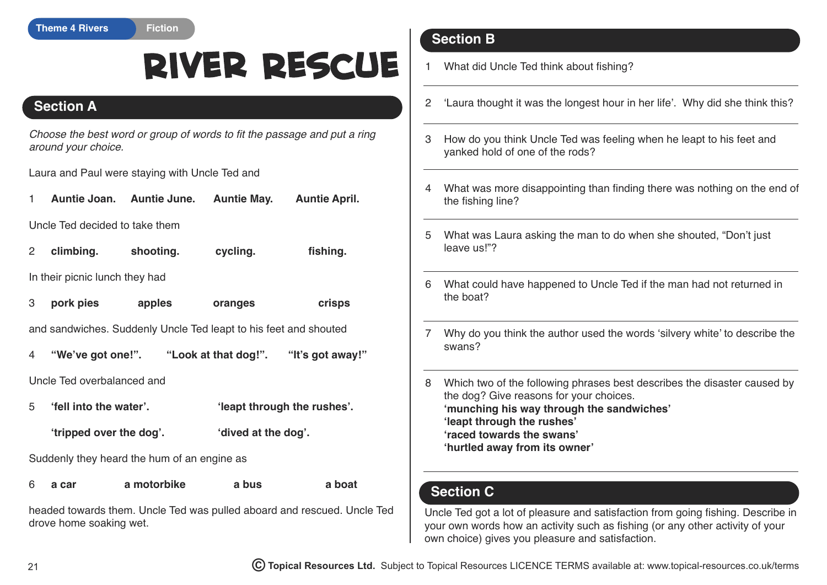## **River Rescue**

## **Section A**

*Choose the best word or group of words to fit the passage and put a ring around your choice.*

Laura and Paul were staying with Uncle Ted and

1 **Auntie Joan. Auntie June. Auntie May. Auntie April.**

Uncle Ted decided to take them

| 2 | climbing. | shooting. | cycling. | fishing. |
|---|-----------|-----------|----------|----------|
|   |           |           |          |          |

In their picnic lunch they had

3 **pork pies apples oranges crisps**

and sandwiches. Suddenly Uncle Ted leapt to his feet and shouted

4 **"We've got one!". "Look at that dog!". "It's got away!"**

Uncle Ted overbalanced and

- 5 **'fell into the water'. 'leapt through the rushes'.**
	- **'tripped over the dog'. 'dived at the dog'.**

Suddenly they heard the hum of an engine as

| 6 | a car | a motorbike | a bus | a boat |
|---|-------|-------------|-------|--------|
|   |       |             |       |        |

headed towards them. Uncle Ted was pulled aboard and rescued. Uncle Ted drove home soaking wet.

## **Section B**

1 What did Uncle Ted think about fishing?

- 2 'Laura thought it was the longest hour in her life'. Why did she think this?
- 3 How do you think Uncle Ted was feeling when he leapt to his feet and yanked hold of one of the rods?
- 4 What was more disappointing than finding there was nothing on the end of the fishing line?
- 5 What was Laura asking the man to do when she shouted, "Don't just leave us!"?
- 6 What could have happened to Uncle Ted if the man had not returned in the boat?
- 7 Why do you think the author used the words 'silvery white' to describe the swans?
- 8 Which two of the following phrases best describes the disaster caused by the dog? Give reasons for your choices. **'munching his way through the sandwiches' 'leapt through the rushes' 'raced towards the swans' 'hurtled away from its owner'**

## **Section C**

Uncle Ted got a lot of pleasure and satisfaction from going fishing. Describe in your own words how an activity such as fishing (or any other activity of your own choice) gives you pleasure and satisfaction.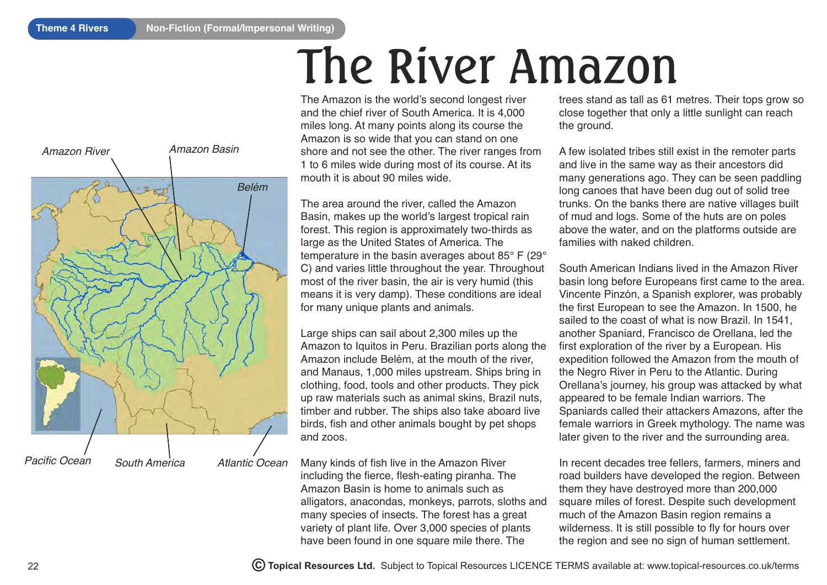# *Amazon River Amazon Basin Pacific Ocean South America Atlantic Ocean Belém*

The Amazon is the world's second longest river and the chief river of South America. It is 4,000 miles long. At many points along its course the Amazon is so wide that you can stand on one shore and not see the other. The river ranges from 1 to 6 miles wide during most of its course. At its mouth it is about 90 miles wide. The River Amazon

The area around the river, called the Amazon Basin, makes up the world's largest tropical rain forest. This region is approximately two-thirds as large as the United States of America. The temperature in the basin averages about 85° F (29° C) and varies little throughout the year. Throughout most of the river basin, the air is very humid (this means it is very damp). These conditions are ideal for many unique plants and animals.

Large ships can sail about 2,300 miles up the Amazon to Iquitos in Peru. Brazilian ports along the Amazon include Belém, at the mouth of the river, and Manaus, 1,000 miles upstream. Ships bring in clothing, food, tools and other products. They pick up raw materials such as animal skins, Brazil nuts, timber and rubber. The ships also take aboard live birds, fish and other animals bought by pet shops and zoos.

Many kinds of fish live in the Amazon River including the fierce, flesh-eating piranha. The Amazon Basin is home to animals such as alligators, anacondas, monkeys, parrots, sloths and many species of insects. The forest has a great variety of plant life. Over 3,000 species of plants have been found in one square mile there. The

trees stand as tall as 61 metres. Their tops grow so close together that only a little sunlight can reach the ground.

A few isolated tribes still exist in the remoter parts and live in the same way as their ancestors did many generations ago. They can be seen paddling long canoes that have been dug out of solid tree trunks. On the banks there are native villages built of mud and logs. Some of the huts are on poles above the water, and on the platforms outside are families with naked children.

South American Indians lived in the Amazon River basin long before Europeans first came to the area. Vincente Pinzón, a Spanish explorer, was probably the first European to see the Amazon. In 1500, he sailed to the coast of what is now Brazil. In 1541, another Spaniard, Francisco de Orellana, led the first exploration of the river by a European. His expedition followed the Amazon from the mouth of the Negro River in Peru to the Atlantic. During Orellana's journey, his group was attacked by what appeared to be female Indian warriors. The Spaniards called their attackers Amazons, after the female warriors in Greek mythology. The name was later given to the river and the surrounding area.

In recent decades tree fellers, farmers, miners and road builders have developed the region. Between them they have destroyed more than 200,000 square miles of forest. Despite such development much of the Amazon Basin region remains a wilderness. It is still possible to fly for hours over the region and see no sign of human settlement.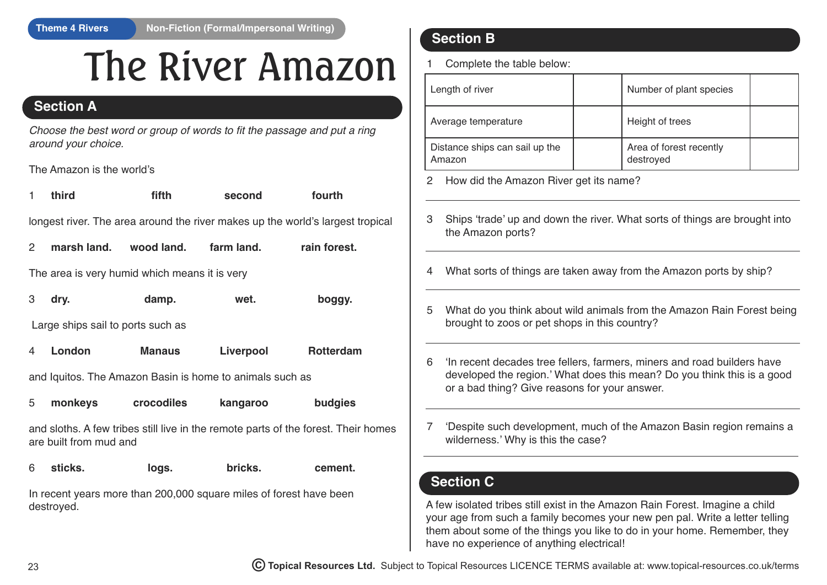## The River Amazon

## **Section A**

 *Choose the best word or group of words to fit the passage and put a ring around your choice.*

The Amazon is the world's

| third                                                                          | fifth | second | fourth |
|--------------------------------------------------------------------------------|-------|--------|--------|
| longest river. The area around the river makes up the world's largest tropical |       |        |        |

| 2 | marsh land. | wood land. | farm land. | rain forest. |
|---|-------------|------------|------------|--------------|
|---|-------------|------------|------------|--------------|

The area is very humid which means it is very

| $3$ dry. | damp. | wet. | boggy. |
|----------|-------|------|--------|
|          |       |      |        |

Large ships sail to ports such as

| <b>Rotterdam</b><br>Liverpool<br>London<br><b>Manaus</b> |
|----------------------------------------------------------|
|----------------------------------------------------------|

and Iquitos. The Amazon Basin is home to animals such as

|  | monkeys | crocodiles | kangaroo | budgies |
|--|---------|------------|----------|---------|
|--|---------|------------|----------|---------|

and sloths. A few tribes still live in the remote parts of the forest. Their homes are built from mud and

6 **sticks. logs. bricks. cement.**

In recent years more than 200,000 square miles of forest have been destroyed.

## **Section B**

Complete the table below:

| Length of river                          | Number of plant species              |  |
|------------------------------------------|--------------------------------------|--|
| Average temperature                      | Height of trees                      |  |
| Distance ships can sail up the<br>Amazon | Area of forest recently<br>destroyed |  |

2 How did the Amazon River get its name?

- 3 Ships 'trade' up and down the river. What sorts of things are brought into the Amazon ports?
- 4 What sorts of things are taken away from the Amazon ports by ship?
- 5 What do you think about wild animals from the Amazon Rain Forest being brought to zoos or pet shops in this country?
- 6 'In recent decades tree fellers, farmers, miners and road builders have developed the region.' What does this mean? Do you think this is a good or a bad thing? Give reasons for your answer.
- 7 'Despite such development, much of the Amazon Basin region remains a wilderness.' Why is this the case?

## **Section C**

A few isolated tribes still exist in the Amazon Rain Forest. Imagine a child your age from such a family becomes your new pen pal. Write a letter telling them about some of the things you like to do in your home. Remember, they have no experience of anything electrical!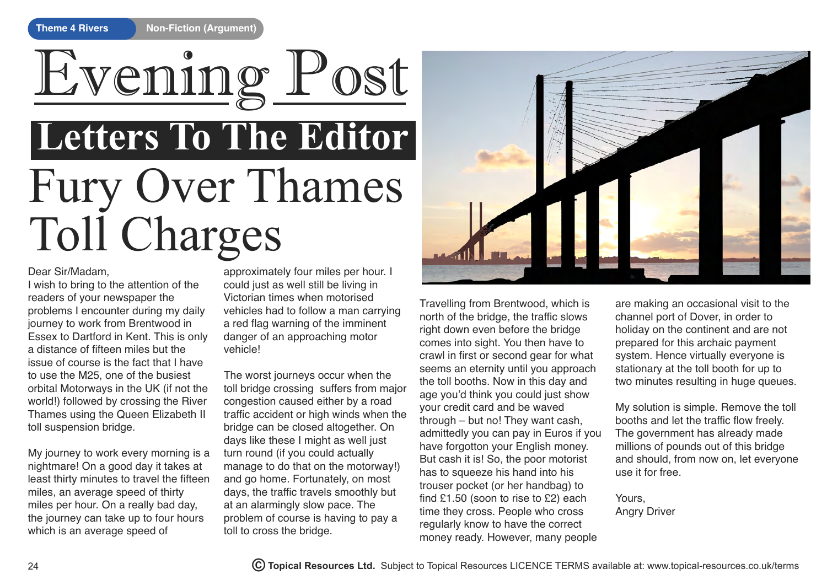# Fury Over Thames Toll Charges **Letters To The Editor** Evening Post

#### Dear Sir/Madam,

I wish to bring to the attention of the readers of your newspaper the problems I encounter during my daily journey to work from Brentwood in Essex to Dartford in Kent. This is only a distance of fifteen miles but the issue of course is the fact that I have to use the M25, one of the busiest orbital Motorways in the UK (if not the world!) followed by crossing the River Thames using the Queen Elizabeth II toll suspension bridge.

My journey to work every morning is a nightmare! On a good day it takes at least thirty minutes to travel the fifteen miles, an average speed of thirty miles per hour. On a really bad day, the journey can take up to four hours which is an average speed of

approximately four miles per hour. I could just as well still be living in Victorian times when motorised vehicles had to follow a man carrying a red flag warning of the imminent danger of an approaching motor vehicle!

The worst journeys occur when the toll bridge crossing suffers from major congestion caused either by a road traffic accident or high winds when the bridge can be closed altogether. On days like these I might as well just turn round (if you could actually manage to do that on the motorway!) and go home. Fortunately, on most days, the traffic travels smoothly but at an alarmingly slow pace. The problem of course is having to pay a toll to cross the bridge.



Travelling from Brentwood, which is north of the bridge, the traffic slows right down even before the bridge comes into sight. You then have to crawl in first or second gear for what seems an eternity until you approach the toll booths. Now in this day and age you'd think you could just show your credit card and be waved through – but no! They want cash, admittedly you can pay in Euros if you have forgotton your English money. But cash it is! So, the poor motorist has to squeeze his hand into his trouser pocket (or her handbag) to find £1.50 (soon to rise to £2) each time they cross. People who cross regularly know to have the correct money ready. However, many people

are making an occasional visit to the channel port of Dover, in order to holiday on the continent and are not prepared for this archaic payment system. Hence virtually everyone is stationary at the toll booth for up to two minutes resulting in huge queues.

My solution is simple. Remove the toll booths and let the traffic flow freely. The government has already made millions of pounds out of this bridge and should, from now on, let everyone use it for free.

Yours, Angry Driver